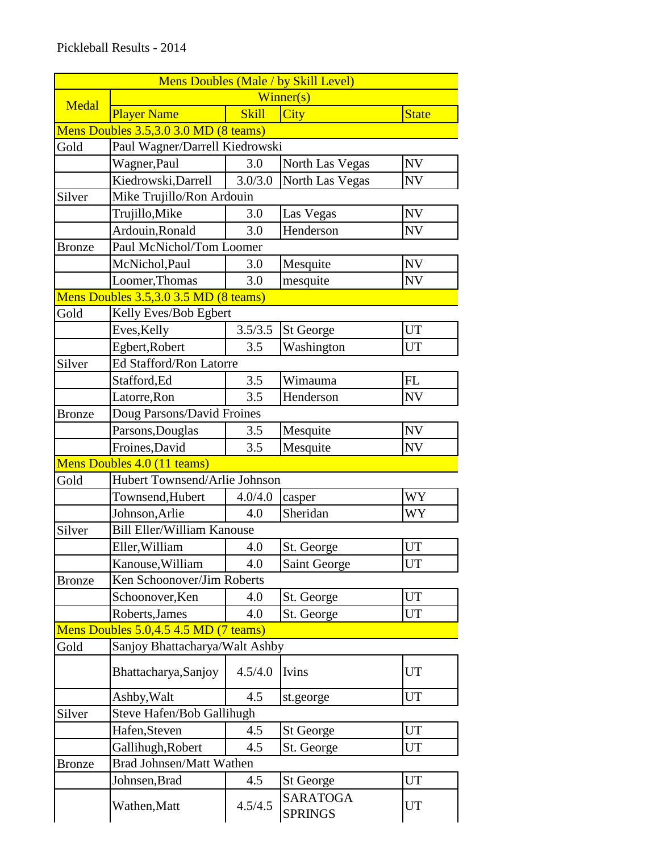|               |                                       |              | Mens Doubles (Male / by Skill Level) |              |  |
|---------------|---------------------------------------|--------------|--------------------------------------|--------------|--|
| Medal         | Winner(s)                             |              |                                      |              |  |
|               | <b>Player Name</b>                    | <b>Skill</b> | <b>City</b>                          | <b>State</b> |  |
|               | Mens Doubles 3.5,3.0 3.0 MD (8 teams) |              |                                      |              |  |
| Gold          | Paul Wagner/Darrell Kiedrowski        |              |                                      |              |  |
|               | Wagner, Paul                          | 3.0          | North Las Vegas                      | <b>NV</b>    |  |
|               | Kiedrowski, Darrell                   | 3.0/3.0      | North Las Vegas                      | <b>NV</b>    |  |
| Silver        | Mike Trujillo/Ron Ardouin             |              |                                      |              |  |
|               | Trujillo, Mike                        | 3.0          | Las Vegas                            | <b>NV</b>    |  |
|               | Ardouin, Ronald                       | 3.0          | Henderson                            | <b>NV</b>    |  |
| <b>Bronze</b> | Paul McNichol/Tom Loomer              |              |                                      |              |  |
|               | McNichol, Paul                        | 3.0          | Mesquite                             | <b>NV</b>    |  |
|               | Loomer, Thomas                        | 3.0          | mesquite                             | <b>NV</b>    |  |
|               | Mens Doubles 3.5,3.0 3.5 MD (8 teams) |              |                                      |              |  |
| Gold          | Kelly Eves/Bob Egbert                 |              |                                      |              |  |
|               | Eves, Kelly                           | 3.5/3.5      | <b>St George</b>                     | <b>UT</b>    |  |
|               | Egbert, Robert                        | 3.5          | Washington                           | <b>UT</b>    |  |
| Silver        | Ed Stafford/Ron Latorre               |              |                                      |              |  |
|               | Stafford, Ed                          | 3.5          | Wimauma                              | FL           |  |
|               | Latorre, Ron                          | 3.5          | Henderson                            | <b>NV</b>    |  |
| <b>Bronze</b> | Doug Parsons/David Froines            |              |                                      |              |  |
|               | Parsons, Douglas                      | 3.5          | Mesquite                             | <b>NV</b>    |  |
|               | Froines, David                        | 3.5          | Mesquite                             | <b>NV</b>    |  |
|               | Mens Doubles 4.0 (11 teams)           |              |                                      |              |  |
| Gold          | Hubert Townsend/Arlie Johnson         |              |                                      |              |  |
|               | Townsend, Hubert                      | 4.0/4.0      | casper                               | <b>WY</b>    |  |
|               | Johnson, Arlie                        | 4.0          | Sheridan                             | WY           |  |
| Silver        | <b>Bill Eller/William Kanouse</b>     |              |                                      |              |  |
|               | Eller, William                        | 4.0          | St. George                           | <b>UT</b>    |  |
|               | Kanouse, William                      | 4.0          | Saint George                         | UT           |  |
| <b>Bronze</b> | Ken Schoonover/Jim Roberts            |              |                                      |              |  |
|               | Schoonover, Ken                       | 4.0          | St. George                           | UT           |  |
|               | Roberts, James                        | 4.0          | St. George                           | UT           |  |
|               | Mens Doubles 5.0,4.5 4.5 MD (7 teams) |              |                                      |              |  |
| Gold          | Sanjoy Bhattacharya/Walt Ashby        |              |                                      |              |  |
|               | Bhattacharya, Sanjoy                  | 4.5/4.0      | Ivins                                | UT           |  |
|               | Ashby, Walt                           | 4.5          | st.george                            | <b>UT</b>    |  |
| Silver        | Steve Hafen/Bob Gallihugh             |              |                                      |              |  |
|               | Hafen, Steven                         | 4.5          | <b>St George</b>                     | <b>UT</b>    |  |
|               | Gallihugh, Robert                     | 4.5          | St. George                           | <b>UT</b>    |  |
| <b>Bronze</b> | Brad Johnsen/Matt Wathen              |              |                                      |              |  |
|               | Johnsen, Brad                         | 4.5          | <b>St George</b>                     | <b>UT</b>    |  |
|               | Wathen, Matt                          | 4.5/4.5      | <b>SARATOGA</b><br><b>SPRINGS</b>    | UT           |  |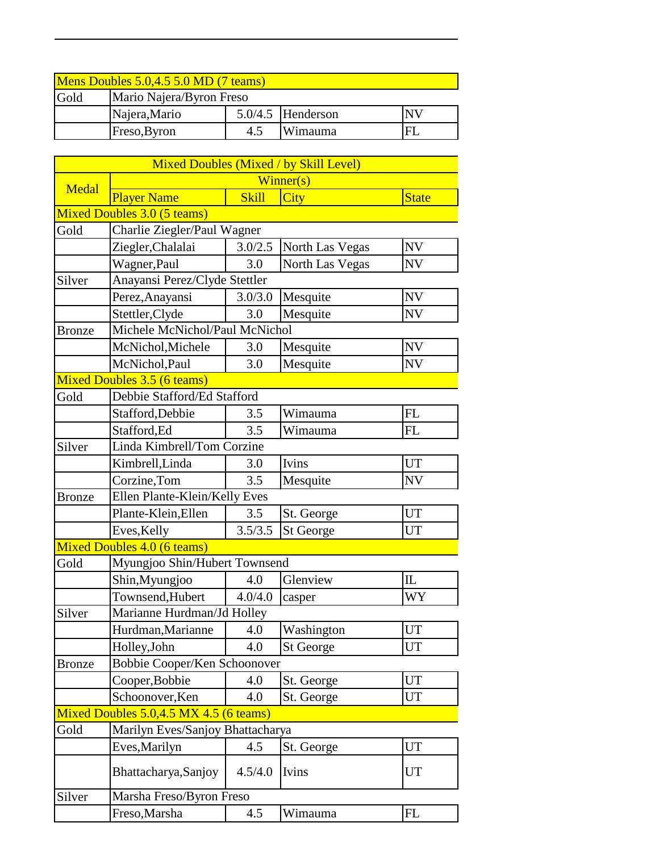| Mens Doubles 5.0,4.5 5.0 MD (7 teams) |                          |     |                     |           |  |
|---------------------------------------|--------------------------|-----|---------------------|-----------|--|
| Gold                                  | Mario Najera/Byron Freso |     |                     |           |  |
|                                       | Najera, Mario            |     | $5.0/4.5$ Henderson | <b>NV</b> |  |
|                                       | Freso, Byron             | 4.5 | Wimauma             | FI        |  |

|               |                                        |                               | <b>Mixed Doubles (Mixed / by Skill Level)</b> |                          |  |  |
|---------------|----------------------------------------|-------------------------------|-----------------------------------------------|--------------------------|--|--|
| Medal         | Winner(s)                              |                               |                                               |                          |  |  |
|               | <b>Player Name</b>                     | <b>Skill</b>                  | City                                          | <b>State</b>             |  |  |
|               | Mixed Doubles 3.0 (5 teams)            |                               |                                               |                          |  |  |
| Gold          | Charlie Ziegler/Paul Wagner            |                               |                                               |                          |  |  |
|               | Ziegler, Chalalai                      | 3.0/2.5                       | North Las Vegas                               | <b>NV</b>                |  |  |
|               | Wagner, Paul                           | 3.0                           | North Las Vegas                               | <b>NV</b>                |  |  |
| Silver        | Anayansi Perez/Clyde Stettler          |                               |                                               |                          |  |  |
|               | Perez, Anayansi                        | 3.0/3.0                       | Mesquite                                      | <b>NV</b>                |  |  |
|               | Stettler, Clyde                        | 3.0                           | Mesquite                                      | <b>NV</b>                |  |  |
| <b>Bronze</b> | Michele McNichol/Paul McNichol         |                               |                                               |                          |  |  |
|               | McNichol, Michele                      | 3.0                           | Mesquite                                      | $\ensuremath{\text{NV}}$ |  |  |
|               | McNichol, Paul                         | 3.0                           | Mesquite                                      | <b>NV</b>                |  |  |
|               | <b>Mixed Doubles 3.5 (6 teams)</b>     |                               |                                               |                          |  |  |
| Gold          | Debbie Stafford/Ed Stafford            |                               |                                               |                          |  |  |
|               | Stafford, Debbie                       | 3.5                           | Wimauma                                       | FL                       |  |  |
|               | Stafford, Ed                           | 3.5                           | Wimauma                                       | FL                       |  |  |
| Silver        | Linda Kimbrell/Tom Corzine             |                               |                                               |                          |  |  |
|               | Kimbrell, Linda                        | 3.0                           | Ivins                                         | <b>UT</b>                |  |  |
|               | Corzine, Tom                           | 3.5                           | Mesquite                                      | <b>NV</b>                |  |  |
| <b>Bronze</b> |                                        | Ellen Plante-Klein/Kelly Eves |                                               |                          |  |  |
|               | Plante-Klein, Ellen                    | 3.5                           | St. George                                    | UT                       |  |  |
|               | Eves, Kelly                            | 3.5/3.5                       | <b>St George</b>                              | UT                       |  |  |
|               | Mixed Doubles 4.0 (6 teams)            |                               |                                               |                          |  |  |
| Gold          | Myungjoo Shin/Hubert Townsend          |                               |                                               |                          |  |  |
|               | Shin, Myungjoo                         | 4.0                           | Glenview                                      | $\mathbbm{L}$            |  |  |
|               | Townsend, Hubert                       | 4.0/4.0                       | casper                                        | WY                       |  |  |
| Silver        | Marianne Hurdman/Jd Holley             |                               |                                               |                          |  |  |
|               | Hurdman, Marianne                      | 4.0                           | Washington                                    | <b>UT</b>                |  |  |
|               | Holley, John                           | 4.0                           | <b>St George</b>                              | <b>UT</b>                |  |  |
| <b>Bronze</b> | Bobbie Cooper/Ken Schoonover           |                               |                                               |                          |  |  |
|               | Cooper, Bobbie                         | 4.0                           | St. George                                    | <b>UT</b>                |  |  |
|               | Schoonover, Ken                        | 4.0                           | St. George                                    | <b>UT</b>                |  |  |
|               | Mixed Doubles 5.0,4.5 MX 4.5 (6 teams) |                               |                                               |                          |  |  |
| Gold          | Marilyn Eves/Sanjoy Bhattacharya       |                               |                                               |                          |  |  |
|               | Eves, Marilyn                          | 4.5                           | St. George                                    | UT                       |  |  |
|               | Bhattacharya, Sanjoy                   | 4.5/4.0                       | Ivins                                         | UT                       |  |  |
| Silver        | Marsha Freso/Byron Freso               |                               |                                               |                          |  |  |
|               | Freso, Marsha                          | 4.5                           | Wimauma                                       | FL                       |  |  |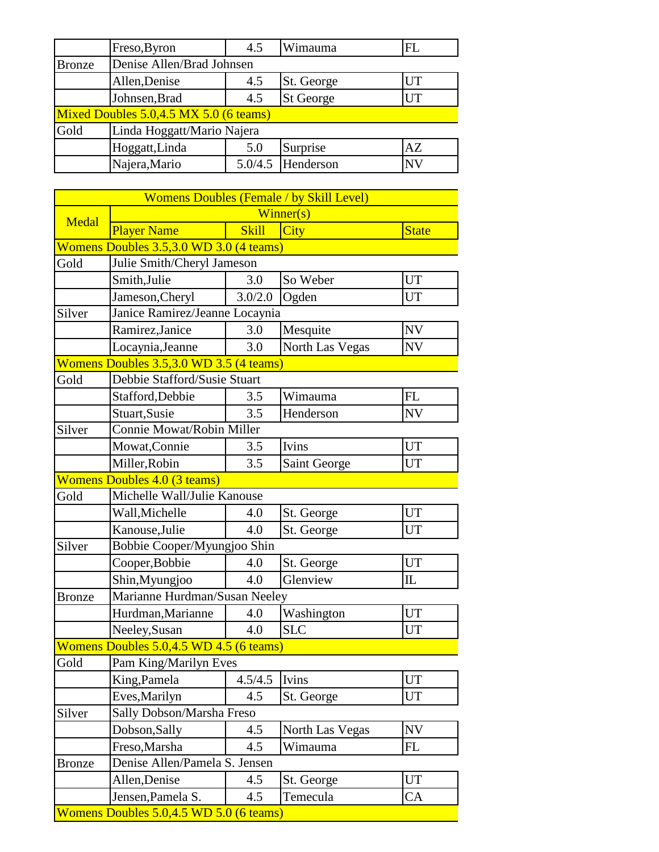|                                            | Freso, Byron               | 4.5     | Wimauma          | FL        |  |
|--------------------------------------------|----------------------------|---------|------------------|-----------|--|
| <b>Bronze</b>                              | Denise Allen/Brad Johnsen  |         |                  |           |  |
|                                            | Allen, Denise              | 4.5     | St. George       | <b>UT</b> |  |
|                                            | Johnsen, Brad              | 4.5     | <b>St George</b> | UT        |  |
| Mixed Doubles $5.0,4.5$ MX $5.0$ (6 teams) |                            |         |                  |           |  |
| Gold                                       | Linda Hoggatt/Mario Najera |         |                  |           |  |
|                                            | Hoggatt, Linda             | 5.0     | Surprise         | AZ        |  |
|                                            | Najera, Mario              | 5.0/4.5 | Henderson        | <b>NV</b> |  |

|               |                                         |              | <b>Womens Doubles (Female / by Skill Level)</b> |              |  |
|---------------|-----------------------------------------|--------------|-------------------------------------------------|--------------|--|
| Medal         | $\overline{\text{Winner}}(s)$           |              |                                                 |              |  |
|               | <b>Player Name</b>                      | <b>Skill</b> | <b>City</b>                                     | <b>State</b> |  |
|               | Womens Doubles 3.5,3.0 WD 3.0 (4 teams) |              |                                                 |              |  |
| Gold          | Julie Smith/Cheryl Jameson              |              |                                                 |              |  |
|               | Smith, Julie                            | 3.0          | So Weber                                        | <b>UT</b>    |  |
|               | Jameson, Cheryl                         | 3.0/2.0      | Ogden                                           | <b>UT</b>    |  |
| Silver        | Janice Ramirez/Jeanne Locaynia          |              |                                                 |              |  |
|               | Ramirez, Janice                         | 3.0          | Mesquite                                        | <b>NV</b>    |  |
|               | Locaynia, Jeanne                        | 3.0          | North Las Vegas                                 | <b>NV</b>    |  |
|               | Womens Doubles 3.5,3.0 WD 3.5 (4 teams) |              |                                                 |              |  |
| Gold          | Debbie Stafford/Susie Stuart            |              |                                                 |              |  |
|               | Stafford, Debbie                        | 3.5          | Wimauma                                         | FL           |  |
|               | Stuart, Susie                           | 3.5          | Henderson                                       | <b>NV</b>    |  |
| Silver        | Connie Mowat/Robin Miller               |              |                                                 |              |  |
|               | Mowat, Connie                           | 3.5          | Ivins                                           | <b>UT</b>    |  |
|               | Miller, Robin                           | 3.5          | Saint George                                    | <b>UT</b>    |  |
|               | <b>Womens Doubles 4.0 (3 teams)</b>     |              |                                                 |              |  |
| Gold          | Michelle Wall/Julie Kanouse             |              |                                                 |              |  |
|               | Wall, Michelle                          | 4.0          | St. George                                      | <b>UT</b>    |  |
|               | Kanouse, Julie                          | 4.0          | St. George                                      | UT           |  |
| Silver        | Bobbie Cooper/Myungjoo Shin             |              |                                                 |              |  |
|               | Cooper, Bobbie                          | 4.0          | St. George                                      | <b>UT</b>    |  |
|               | Shin, Myungjoo                          | 4.0          | Glenview                                        | $\mathbb L$  |  |
| <b>Bronze</b> | Marianne Hurdman/Susan Neeley           |              |                                                 |              |  |
|               | Hurdman, Marianne                       | 4.0          | Washington                                      | <b>UT</b>    |  |
|               | Neeley, Susan                           | 4.0          | <b>SLC</b>                                      | <b>UT</b>    |  |
|               | Womens Doubles 5.0,4.5 WD 4.5 (6 teams) |              |                                                 |              |  |
| Gold          | Pam King/Marilyn Eves                   |              |                                                 |              |  |
|               | King, Pamela                            | 4.5/4.5      | Ivins                                           | UT           |  |
|               | Eves, Marilyn                           | 4.5          | St. George                                      | <b>UT</b>    |  |
| Silver        | Sally Dobson/Marsha Freso               |              |                                                 |              |  |
|               | Dobson, Sally                           | 4.5          | North Las Vegas                                 | NV           |  |
|               | Freso, Marsha                           | 4.5          | Wimauma                                         | FL           |  |
| Bronze        | Denise Allen/Pamela S. Jensen           |              |                                                 |              |  |
|               | Allen, Denise                           | 4.5          | St. George                                      | <b>UT</b>    |  |
|               | Jensen, Pamela S.                       | 4.5          | Temecula                                        | CA           |  |
|               | Womens Doubles 5.0,4.5 WD 5.0 (6 teams) |              |                                                 |              |  |